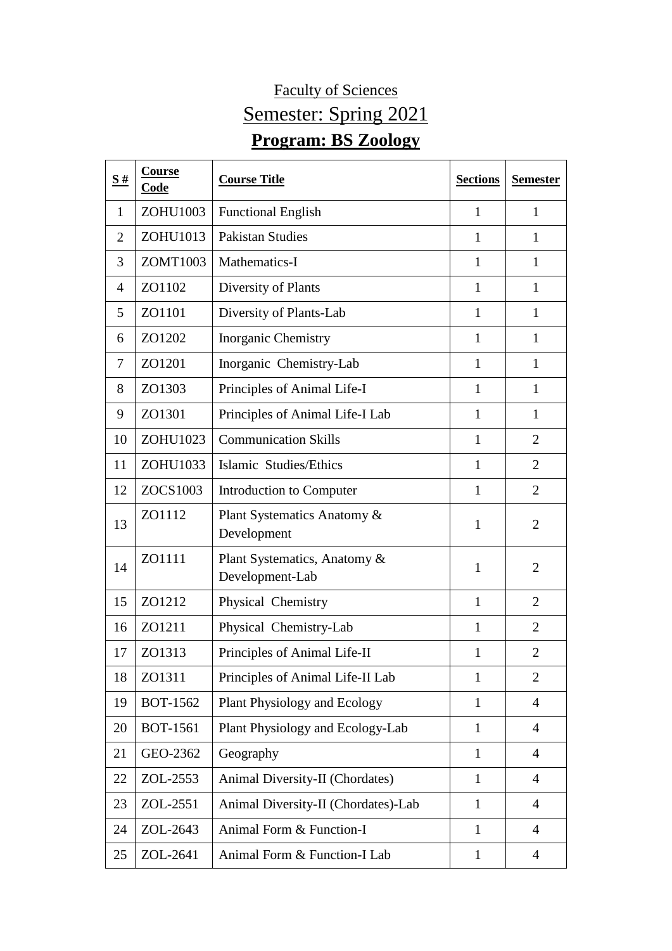## Faculty of Sciences Semester: Spring 2021 **Program: BS Zoology**

| S#             | Course<br>Code  | <b>Course Title</b>                             | <b>Sections</b> | <b>Semester</b> |
|----------------|-----------------|-------------------------------------------------|-----------------|-----------------|
| 1              | ZOHU1003        | <b>Functional English</b>                       | 1               | 1               |
| $\overline{2}$ | ZOHU1013        | <b>Pakistan Studies</b>                         | 1               | 1               |
| 3              | ZOMT1003        | Mathematics-I                                   | 1               | $\mathbf{1}$    |
| 4              | ZO1102          | Diversity of Plants                             | 1               | $\mathbf{1}$    |
| 5              | ZO1101          | Diversity of Plants-Lab                         | $\mathbf{1}$    | 1               |
| 6              | ZO1202          | <b>Inorganic Chemistry</b>                      | $\mathbf{1}$    | $\mathbf{1}$    |
| 7              | ZO1201          | Inorganic Chemistry-Lab                         | $\mathbf{1}$    | $\mathbf{1}$    |
| 8              | ZO1303          | Principles of Animal Life-I                     | 1               | 1               |
| 9              | ZO1301          | Principles of Animal Life-I Lab                 | $\mathbf{1}$    | 1               |
| 10             | ZOHU1023        | <b>Communication Skills</b>                     | 1               | $\overline{2}$  |
| 11             | ZOHU1033        | Islamic Studies/Ethics                          | $\mathbf{1}$    | $\overline{2}$  |
| 12             | ZOCS1003        | Introduction to Computer                        | 1               | $\overline{2}$  |
| 13             | ZO1112          | Plant Systematics Anatomy &<br>Development      | $\mathbf{1}$    | $\overline{2}$  |
| 14             | ZO1111          | Plant Systematics, Anatomy &<br>Development-Lab | $\mathbf{1}$    | $\overline{2}$  |
| 15             | ZO1212          | Physical Chemistry                              | $\mathbf{1}$    | $\overline{2}$  |
| 16             | ZO1211          | Physical Chemistry-Lab                          | $\mathbf{1}$    | $\overline{2}$  |
| 17             | ZO1313          | Principles of Animal Life-II                    | 1               | $\overline{2}$  |
| 18             | ZO1311          | Principles of Animal Life-II Lab                | $\mathbf{1}$    | $\overline{2}$  |
| 19             | <b>BOT-1562</b> | Plant Physiology and Ecology                    | $\mathbf{1}$    | $\overline{4}$  |
| 20             | <b>BOT-1561</b> | Plant Physiology and Ecology-Lab                | $\mathbf{1}$    | 4               |
| 21             | GEO-2362        | Geography                                       | $\mathbf{1}$    | $\overline{4}$  |
| 22             | ZOL-2553        | Animal Diversity-II (Chordates)                 | $\mathbf{1}$    | $\overline{4}$  |
| 23             | ZOL-2551        | Animal Diversity-II (Chordates)-Lab             | $\mathbf{1}$    | $\overline{4}$  |
| 24             | ZOL-2643        | Animal Form & Function-I                        | $\mathbf{1}$    | $\overline{4}$  |
| 25             | ZOL-2641        | Animal Form & Function-I Lab                    | $\mathbf{1}$    | $\overline{4}$  |